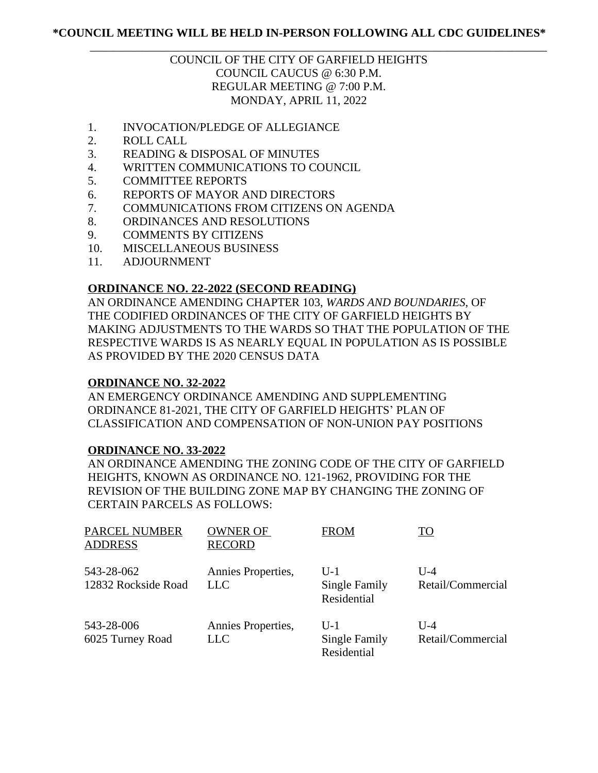## \_\_\_\_\_\_\_\_\_\_\_\_\_\_\_\_\_\_\_\_\_\_\_\_\_\_\_\_\_\_\_\_\_\_\_\_\_\_\_\_\_\_\_\_\_\_\_\_\_\_\_\_\_\_\_\_\_\_\_\_\_\_\_\_\_\_\_\_\_\_\_\_\_\_\_\_\_\_ COUNCIL OF THE CITY OF GARFIELD HEIGHTS COUNCIL CAUCUS @ 6:30 P.M. REGULAR MEETING @ 7:00 P.M. MONDAY, APRIL 11, 2022

- 1. INVOCATION/PLEDGE OF ALLEGIANCE
- 2. ROLL CALL
- 3. READING & DISPOSAL OF MINUTES
- 4. WRITTEN COMMUNICATIONS TO COUNCIL
- 5. COMMITTEE REPORTS
- 6. REPORTS OF MAYOR AND DIRECTORS
- 7. COMMUNICATIONS FROM CITIZENS ON AGENDA
- 8. ORDINANCES AND RESOLUTIONS
- 9. COMMENTS BY CITIZENS
- 10. MISCELLANEOUS BUSINESS
- 11. ADJOURNMENT

### **ORDINANCE NO. 22-2022 (SECOND READING)**

AN ORDINANCE AMENDING CHAPTER 103, *WARDS AND BOUNDARIES*, OF THE CODIFIED ORDINANCES OF THE CITY OF GARFIELD HEIGHTS BY MAKING ADJUSTMENTS TO THE WARDS SO THAT THE POPULATION OF THE RESPECTIVE WARDS IS AS NEARLY EQUAL IN POPULATION AS IS POSSIBLE AS PROVIDED BY THE 2020 CENSUS DATA

#### **ORDINANCE NO. 32-2022**

AN EMERGENCY ORDINANCE AMENDING AND SUPPLEMENTING ORDINANCE 81-2021, THE CITY OF GARFIELD HEIGHTS' PLAN OF CLASSIFICATION AND COMPENSATION OF NON-UNION PAY POSITIONS

### **ORDINANCE NO. 33-2022**

AN ORDINANCE AMENDING THE ZONING CODE OF THE CITY OF GARFIELD HEIGHTS, KNOWN AS ORDINANCE NO. 121-1962, PROVIDING FOR THE REVISION OF THE BUILDING ZONE MAP BY CHANGING THE ZONING OF CERTAIN PARCELS AS FOLLOWS:

| <b>PARCEL NUMBER</b><br><b>ADDRESS</b> | <b>OWNER OF</b><br><b>RECORD</b> | <b>FROM</b>                           | TO                         |
|----------------------------------------|----------------------------------|---------------------------------------|----------------------------|
| 543-28-062<br>12832 Rockside Road      | Annies Properties,<br>LLC        | $U-1$<br>Single Family<br>Residential | $U-4$<br>Retail/Commercial |
| 543-28-006<br>6025 Turney Road         | Annies Properties,<br><b>LLC</b> | $U-1$<br>Single Family<br>Residential | $U-4$<br>Retail/Commercial |